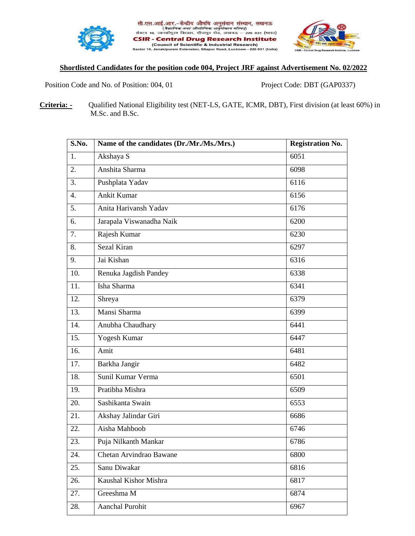





## **Shortlisted Candidates for the position code 004, Project JRF against Advertisement No. 02/2022**

Position Code and No. of Position: 004, 01 Project Code: DBT (GAP0337)

**Criteria: -** Qualified National Eligibility test (NET-LS, GATE, ICMR, DBT), First division (at least 60%) in M.Sc. and B.Sc.

| Name of the candidates (Dr./Mr./Ms./Mrs.) | <b>Registration No.</b> |
|-------------------------------------------|-------------------------|
| Akshaya S                                 | 6051                    |
| Anshita Sharma                            | 6098                    |
| Pushplata Yadav                           | 6116                    |
| <b>Ankit Kumar</b>                        | 6156                    |
| Anita Harivansh Yadav                     | 6176                    |
| Jarapala Viswanadha Naik                  | 6200                    |
| Rajesh Kumar                              | 6230                    |
| Sezal Kiran                               | 6297                    |
| Jai Kishan                                | 6316                    |
| Renuka Jagdish Pandey                     | 6338                    |
| Isha Sharma                               | 6341                    |
| Shreya                                    | 6379                    |
| Mansi Sharma                              | 6399                    |
| Anubha Chaudhary                          | 6441                    |
| Yogesh Kumar                              | 6447                    |
| Amit                                      | 6481                    |
| Barkha Jangir                             | 6482                    |
| Sunil Kumar Verma                         | 6501                    |
| Pratibha Mishra                           | 6509                    |
| Sashikanta Swain                          | 6553                    |
| Akshay Jalindar Giri                      | 6686                    |
| Aisha Mahboob                             | 6746                    |
| Puja Nilkanth Mankar                      | 6786                    |
| Chetan Arvindrao Bawane                   | 6800                    |
| Sanu Diwakar                              | 6816                    |
| Kaushal Kishor Mishra                     | 6817                    |
| Greeshma M                                | 6874                    |
| Aanchal Purohit                           | 6967                    |
|                                           |                         |